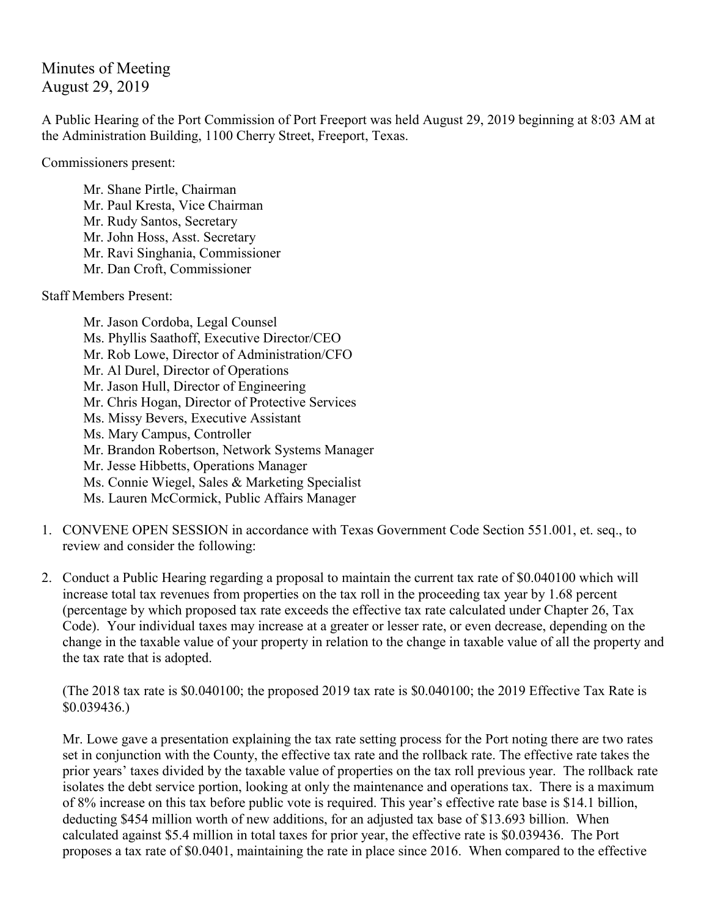Minutes of Meeting August 29, 2019

A Public Hearing of the Port Commission of Port Freeport was held August 29, 2019 beginning at 8:03 AM at the Administration Building, 1100 Cherry Street, Freeport, Texas.

Commissioners present:

Mr. Shane Pirtle, Chairman Mr. Paul Kresta, Vice Chairman Mr. Rudy Santos, Secretary Mr. John Hoss, Asst. Secretary Mr. Ravi Singhania, Commissioner Mr. Dan Croft, Commissioner

Staff Members Present:

- Mr. Jason Cordoba, Legal Counsel Ms. Phyllis Saathoff, Executive Director/CEO Mr. Rob Lowe, Director of Administration/CFO Mr. Al Durel, Director of Operations Mr. Jason Hull, Director of Engineering Mr. Chris Hogan, Director of Protective Services Ms. Missy Bevers, Executive Assistant Ms. Mary Campus, Controller Mr. Brandon Robertson, Network Systems Manager Mr. Jesse Hibbetts, Operations Manager Ms. Connie Wiegel, Sales & Marketing Specialist Ms. Lauren McCormick, Public Affairs Manager
- 1. CONVENE OPEN SESSION in accordance with Texas Government Code Section 551.001, et. seq., to review and consider the following:
- 2. Conduct a Public Hearing regarding a proposal to maintain the current tax rate of \$0.040100 which will increase total tax revenues from properties on the tax roll in the proceeding tax year by 1.68 percent (percentage by which proposed tax rate exceeds the effective tax rate calculated under Chapter 26, Tax Code). Your individual taxes may increase at a greater or lesser rate, or even decrease, depending on the change in the taxable value of your property in relation to the change in taxable value of all the property and the tax rate that is adopted.

(The 2018 tax rate is \$0.040100; the proposed 2019 tax rate is \$0.040100; the 2019 Effective Tax Rate is \$0.039436.)

Mr. Lowe gave a presentation explaining the tax rate setting process for the Port noting there are two rates set in conjunction with the County, the effective tax rate and the rollback rate. The effective rate takes the prior years' taxes divided by the taxable value of properties on the tax roll previous year. The rollback rate isolates the debt service portion, looking at only the maintenance and operations tax. There is a maximum of 8% increase on this tax before public vote is required. This year's effective rate base is \$14.1 billion, deducting \$454 million worth of new additions, for an adjusted tax base of \$13.693 billion. When calculated against \$5.4 million in total taxes for prior year, the effective rate is \$0.039436. The Port proposes a tax rate of \$0.0401, maintaining the rate in place since 2016. When compared to the effective